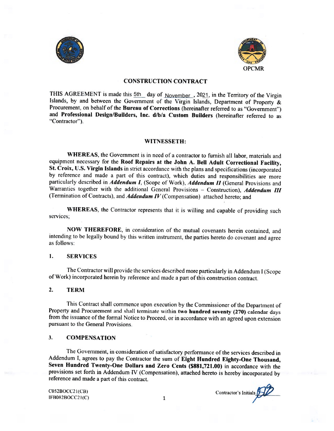



#### CONSTRUCTION CONTRACT

THIS AGREEMENT is made this  $5th$  day of  $November$ , 2021, in the Territory of the Virgin Islands, by and between the Government of the Virgin Islands, Department of Property & Procurement, on behalf of the Bureau of Corrections (hereinafter referred to as "Government") and Professional Design/Builders, Inc. d/b/a Custom Builders (hereinafter referred to as "Contractor").

#### WITNESSETH:

WHEREAS, the Government is in need of a contractor to furnish all labor, materials and equipment necessary for the Roof Repairs at the John A. Bell Adult Correctional Facility, St. Croix, U.S. Virgin Islands in strict accordance with the <sup>p</sup>lans and specifications(incorporated by reference and made <sup>a</sup> part of this contract). which duties and responsibilities are more particularly described in Addendum I, (Scope of Work), Addendum II (General Provisions and Warranties together with the additional General Provisions - Construction), Addendum III (Termination of Contracts), and Addendum IV (Compensation) attached hereto; and

WHEREAS, the Contractor represents that it is willing and capable of providing such services;

NOW THEREFORE, in consideration of the mutual covenants herein contained, and intending to he legally hound by this written instrument, the parties hereto do covenant and agree as follows:

#### 1. **SERVICES**

The Contractor will provide the services described more particularly in Addendum I (Scope of Work) incorporated herein by reference and made <sup>a</sup> part of this construction contract.

#### 2. TERM

This Contract shall commence upon execution by the Commissioner of the Department of Property and Procurement and shall terminate within two hundred seventy (270) calendar days from the issuance of the formal Notice to Proceed, or in accordance with an agreed upon extension pursuant to the General Provisions.

#### 3. COMPENSATION

The Government, in consideration of satisfactory performance of the services described in Addendum I, agrees to pay the Contractor the sum of Eight Hundred Eighty-One Thousand, Seven Hundred Twenty-One Dollars and Zero Cents (\$881,721.00) in accordance with the provisions set forth in Addendum IV (Compensation). attached hereto is hereby incorporated by reference and made <sup>a</sup> part of this contract.

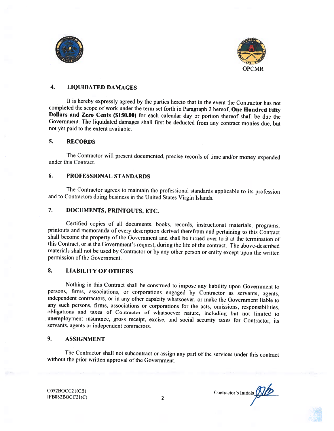



# 4. LiQUIDATED DAMAGES

It is hereby expressly agreed by the parties hereto that in the event the Contractor has not completed the scope of work under the term set forth in Paragraph 2 hereof, One Hundred Fifty Dollars and Zero Cents (\$150.00) for each calendar day or portion thereof shall be due the Government. The liquidated damages shall first he deducted from any contract monies due, but not yet paid to the extent available.

## 5. RECORDS

The Contractor will present documented, precise records of time and/or money expended under this Contract.

#### 6. PROFESSIONAL STANDARDS

The Contractor agrees to maintain the professional standards applicable to its profession and to Contractors doing business in the United States Virgin Islands.

# 7. DOCUMENTS, PRINTOUTS, ETC.

Certified copies of all documents, books, records, instructional materials, programs. printouts and memoranda of every description derived therefrom and pertaining to this Contract shall become the property of the Government and shall be turned over to it at the termination of this Contract, or at the Government's request, during the life of the contract. The above-described materials shall not be used by Contractor or by any other person or entity except upon the written permission of the Government.

# 8. LIABILITY OF OTHERS

Nothing in this Contract shall be construed to impose any liability upon Government to persons, firms, associations, or corporations engaged by Contractor as servants, agents, independent contractors, or in any other capacity whatsoever, or make the Government liable to any such persons. firms, associations or corporations for the acts, omissions, responsibilities, obligations and taxes of Contractor of whatsoever nature, including hut not limited to unemployment insurance, gross receipt, excise, and social security taxes for Contractor, its servants, agents or independent contractors.

## 9. ASSIGNMENT

The Contractor shall not subcontract or assign any part of the services under this contract without the prior written approval of the Government.

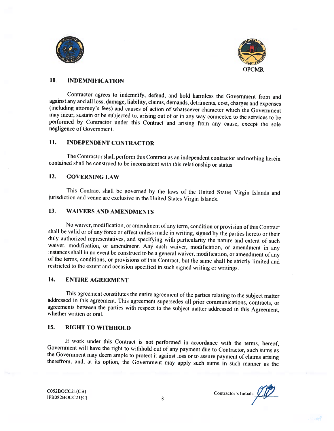



# 10. INDEMNIFICATION

Contractor agrees to indemnify, defend, and hold harmless the Government from and against any and all loss, damage. liability, claims, demands. detriments, cost, charges and expenses (including attorney's fees) and causes of action of whatsoever character which the Government may incur, sustain or be subjected to, arising out of or in any way connected to the services to be performed by Contractor under this Contract and arising from any cause, except the sole negligence of Government.

# 11. INDEPENDENT CONTRACTOR

The Contractor shall perform this Contract as an independent contractor and nothing herein contained shall he construed to he inconsistent with this relationship or status.

# 12, GOVERNING LAW

This Contract shall be governed by the laws of the United States Virgin Islands and jurisdiction and venue are exclusive in the United States Virgin Islands.

## 13, WAIVERS AND AMENDMENTS

No waiver, modification, or amendment of any term, condition or provision of this Contract shall be valid or of any force or effect unless made in writing, signed by the parties hereto or their duly authorized representatives, and specifying with particularity the nature and extent of such waiver, modification, or amendment. Any such waiver, modification, or amendment in any instances shall in no event be construed to be a general waiver, modification, or amendment of any of the terms. conditions, or provisions of this C'ontract. but the same shall be strictly limited and restricted to the extent and occasion specified in such signed writing or writings.

# 14. ENTIRE AGREEMENT

This agreement constitutes the entire agreement of the parties relating to the subject matter addressed in this agreement. This agreement supersedes all prior communications, contracts, or agreements between the parties with respect to the subject matter addressed in this Agreement. whether written or oral.

## 15. RIGHT TO WITHHOLD

If work under this Contract is not performed in accordance with the terms, hereof, Government will have the right to withhold out of any payment due to Contractor, such sums as the Government may deem ample to protect it against loss or to assure payment of claims arising therefrom, and, at its option. the Government may apply such sums in such manner as the

 $\overline{CO52BOCC21(CB)}$ <br>  $\overline{CP}$   $\overline{CO52BOCC21(C)}$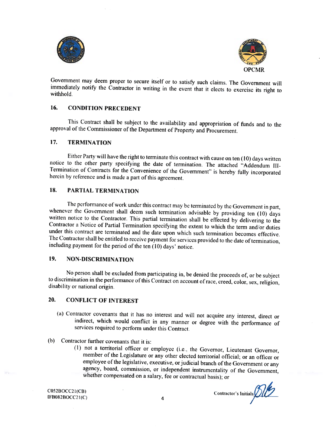



Government may deem proper to secure itself or to satisfy such claims. The Government will immediately notify the Contractor in writing in the event that it elects to exercise its right to withhold.

# 16. CONDITION PRECEDENT

This Contract shall be subject to the availability and appropriation of funds and to the approval of the Commissioner of the Department of Property and Procurement.

#### 17. TERMINATION

Either Party will have the right to terminate this contract with cause on ten (10) days written notice to the other party specifying the date of termination. The attached "Addendum III-Termination of Contracts for the Convenience of the Government" is hereby fully incorporated herein by reference and is made a part of this agreement.

# 1& PARTIAL TERMINATION

The performance of work under this contract may be terminated by the Government in part, whenever the Government shall deem such termination advisable by providing ten (10) days written notice to the Contractor. This partial termination shall be effected by delivering to the Contractor a Notice of Partial Termination specifying the extent to which the term and/or duties under this contract are terminated and the date upon which such termination becomes effective. The Contractor shall be entitled to receive payment for services provided to the date of termination, including payment for the period of the ten (10) days' notice.

# 19. NON-DISCRIMINATION

No person shall be excluded from participating in, he denied the proceeds of, or be subject to discrimination in the performance ofthis Contract on account of race, creed, color, sex, religion, disability or national origin.

# 20. CONFLICT OF INTEREST

- (a) Contractor covenants that it has no interest and will not acquire any' interest, direct or indirect, which would conflict in any manner or degree with the performance of services required to perform under this Contract.
- (b) Contractor further covenants that it is:
	- (I) not <sup>a</sup> territorial officer or employee (i.e.. the Governor, Lieutenant Governor, member of the Legislature or any other elected territorial official; or an officer or employee of the legislative, executive, or judicial branch of the Government or any agency, hoard, commission, or independent instrumentality of the Government, whether compensated on <sup>a</sup> salary, fee or contractual basis): or

[FBOS2ROCC2 I(C') <sup>4</sup>

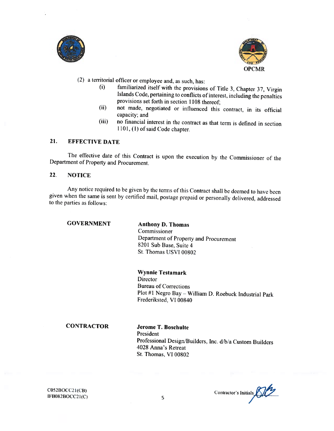



(2) <sup>a</sup> territorial officer or employee and, as such, has:

- (i) familiarized itself with the provisions of Title 3, Chapter 37, Virgin Islands Code, pertaining to conflicts of interest, including the penalties provisions set forth in section 1108 thereof;
- (ii) not made, negotiated or influenced this contract, in its official capacity; and
- (iii) no financial interest in the contract as that term is defined in section 1101, (1) of said Code chapter.

# 21. EFFECTIVE DATE

The effective date of this Contract is upon the execution by the Commissioner of the Department of Property and Procurement.

# 22. NOTICE

Any notice required to be given by the terms of this Contract shall be deemed to have been <sup>g</sup>iven when the same is sent by certified mail, postage prepaid or personally delivered, addressed to the parties as follows;

GOVERNMENT

# Anthony D. Thomas

Commissioner I)epartment of Property and Procurement 8201 Sub Base, Suite 4 St. Thomas USVI 00802

## Wynnie Testamark

**Director** Bureau of Corrections Plot #1 Negro Bay - William D. Roebuck Industrial Park Frederiksted, VI 00840

#### **CONTRACTOR**

## Jerome T. Boschulte President Professional Design/Builders, Inc. d/b/a Custom Builders 4028 Anna's Retreat St. Thomas, VI 00802

C052B0CC2 1(CB)  $IFB082BOCC21(C)$  Contractor's Initials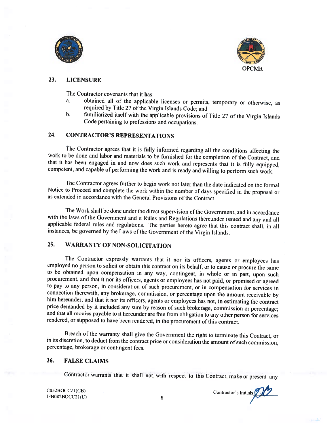



## 23. LICENSURE

The Contractor covenants that it has:

- a. obtained all of the applicable licenses or permits. temporary or otherwise, as required by Title 27 of the Virgin Islands Code; and
- b. familiarized itself with the applicable provisions of Title 27 of the Virgin Islands Code pertaining to professions and occupations.

# 24. CONTRACTOR'S REPRESENTATIONS

The Contractor agrees that it is fully informed regarding all the conditions affecting the work to be done and labor and materials to be furnished for the completion of the Contract, and that it has been engaged in and now does such work and represents that it is fully cquipped, competent, and capable of performing the work and is ready and willing to perform such work.

The Contractor agrees further to begin work not later than the date indicated on the formal Notice to Proceed and complete the work within the number of days specified in the proposal or as extended in accordance with the General Provisions of the Contract.

The Work shall be done under the direct supervision of the Government, and in accordance with the laws of the Government and it Rules and Regulations thereunder issued and any and all applicable federal rules and regulations, The parties hereto agree that this contract shall, in all instances, be governed by the Laws of the Government of the Virgin Islands.

# 25. WARRANTY OF NON-SOLICITATION

The Contractor expressly warrants that it nor its officers, agents or employees has employed no person to solicit or obtain this contract on its behalf, or to cause or procure the same to he obtained upon compensation in any way, contingent, in whole or in part. upon such procurement. and that it nor its officers, agents or employees has not paid, or promised or agreed to pay to any person, in consideration of such procurement. or in compensation for services in connection therewith, any brokerage, commission, or percentage upon the amount receivable by him hereunder; and that it nor its officers, agents or employees has not, in estimating the contract price demanded by it included any sum by reason of such brokerage, commission or percentage; and that all monies payable to it hereunder are free from obligation to any other person for services rendered, or supposed to have been rendered, in the procurement of this contract.

Breach of the warranty shall <sup>g</sup>ive the Government the right to terminate this Contract, or in its discretion, to deduct from the contract price or consideration the amount of such commission, percentage, brokerage or contingent fees.

#### 26. FALSE CLAiMS

Contractor warrants that ii shall not, with respect to this Contract, make or present any

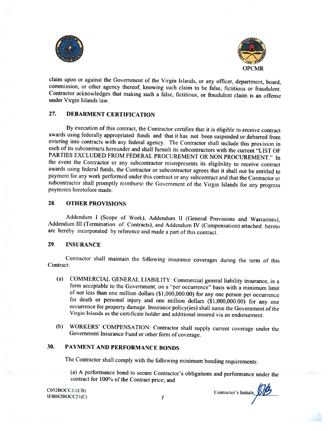



claim upon or against the Government of the Virgin Islands, or any officer, department, board, commission, or other agency thereof, knowing such claim to be false, fictitious or fraudulent. Contractor acknowledges that making such <sup>a</sup> false. fictitious, or fraudulent claim is an offense under Virgin Islands law.

# 27. DEBARMENT CERTIFICATION

By execution of this contract, the Contractor certifies that it is eligible to receive contract awards using federally appropriated funds and that it has not been suspended or debarred from entering into contracts with any federal agency. The Contractor shall include this provision in each of its subcontracts hereunder and shall furnish its subcontractors with the current "LIST OF PARTIES EXCLUDED FROM FEDERAL PROCUREMENT OR NON PROCUREMENT." In the event the Contractor or any subcontractor misrepresents its eligibility to receive contract awards using federal funds, the Contractor or subcontractor agrees that it shall not be entitled to payment for any work performed under this contract or any subcontract and that the Contractor or subcontractor shall promptly reimburse the Government of the Virgin Islands for any progress payments heretofore made.

#### 28. OTHER PROVISIONS

Addendum <sup>I</sup> (Scope of Work). Addendum II (General Provisions and Warranties), Addendum Ill (Termination of Contracts), and Addendum IV (Compensation) attached hereto are hereby incorporated by reference and made <sup>a</sup> part of this contract.

#### 29. INSURANCE

Contractor shall maintain the following insurance coverages during the term of this Contract:

- (a) COMMERCIAL GENERAL LIABILITY: (ommercial general liability insurance, in <sup>a</sup> form acceptable to the Government, on <sup>a</sup> "per occurrence" basis with <sup>a</sup> minimum limit of not less than one million dollars (\$1,000,000.00) for any one person per occurrence for death or personal injury and one million dollars (\$1,000,000.00) for any one occurrence for property damage. Insurance policy(ies) shall name the Government of the Virgin Islands as the certificate holder and additional insured via an endorsement.
- (b) WORKERS' COMPENSATION: Contractor shall supply current coverage under the Government Insurance Fund or other form of coverage.

# 30. PAYMENT AND PERFORMANCE BONDS

The Contractor shall comply with the following minimum bonding requirements:

(a) <sup>A</sup> performance bond to secure Contractor's obligations and performance under the contract for 100% of the Contract price; and

 $\frac{1052B0CC21(CB)}{10002B0CC21(C)}$